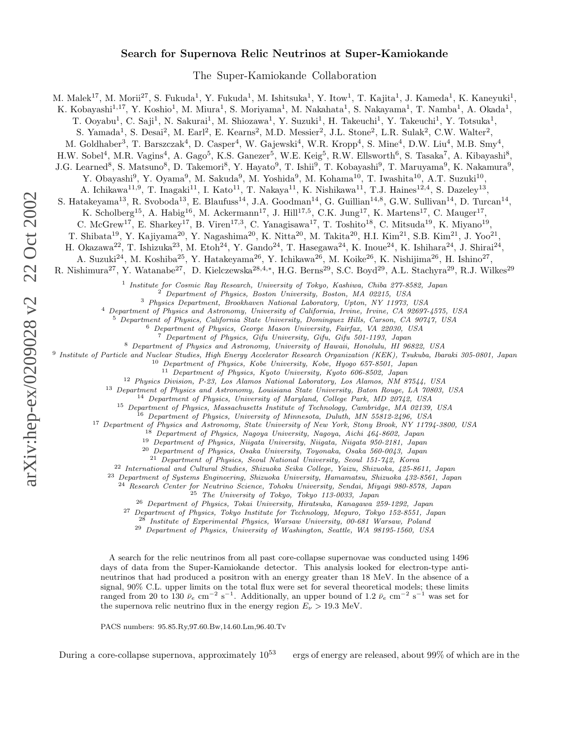## Search for Supernova Relic Neutrinos at Super-Kamiokande

The Super-Kamiokande Collaboration

M. Malek<sup>17</sup>, M. Morii<sup>27</sup>, S. Fukuda<sup>1</sup>, Y. Fukuda<sup>1</sup>, M. Ishitsuka<sup>1</sup>, Y. Itow<sup>1</sup>, T. Kajita<sup>1</sup>, J. Kameda<sup>1</sup>, K. Kaneyuki<sup>1</sup>,

K. Kobayashi<sup>1,17</sup>, Y. Koshio<sup>1</sup>, M. Miura<sup>1</sup>, S. Moriyama<sup>1</sup>, M. Nakahata<sup>1</sup>, S. Nakayama<sup>1</sup>, T. Namba<sup>1</sup>, A. Okada<sup>1</sup>,

T. Ooyabu<sup>1</sup>, C. Saji<sup>1</sup>, N. Sakurai<sup>1</sup>, M. Shiozawa<sup>1</sup>, Y. Suzuki<sup>1</sup>, H. Takeuchi<sup>1</sup>, Y. Takeuchi<sup>1</sup>, Y. Totsuka<sup>1</sup>,

S. Yamada<sup>1</sup>, S. Desai<sup>2</sup>, M. Earl<sup>2</sup>, E. Kearns<sup>2</sup>, M.D. Messier<sup>2</sup>, J.L. Stone<sup>2</sup>, L.R. Sulak<sup>2</sup>, C.W. Walter<sup>2</sup>,

M. Goldhaber<sup>3</sup>, T. Barszczak<sup>4</sup>, D. Casper<sup>4</sup>, W. Gajewski<sup>4</sup>, W.R. Kropp<sup>4</sup>, S. Mine<sup>4</sup>, D.W. Liu<sup>4</sup>, M.B. Smy<sup>4</sup>,

H.W. Sobel<sup>4</sup>, M.R. Vagins<sup>4</sup>, A. Gago<sup>5</sup>, K.S. Ganezer<sup>5</sup>, W.E. Keig<sup>5</sup>, R.W. Ellsworth<sup>6</sup>, S. Tasaka<sup>7</sup>, A. Kibayashi<sup>8</sup>,

J.G. Learned<sup>8</sup>, S. Matsuno<sup>8</sup>, D. Takemori<sup>8</sup>, Y. Hayato<sup>9</sup>, T. Ishii<sup>9</sup>, T. Kobayashi<sup>9</sup>, T. Maruyama<sup>9</sup>, K. Nakamura<sup>9</sup>,

Y. Obayashi<sup>9</sup>, Y. Oyama<sup>9</sup>, M. Sakuda<sup>9</sup>, M. Yoshida<sup>9</sup>, M. Kohama<sup>10</sup>, T. Iwashita<sup>10</sup>, A.T. Suzuki<sup>10</sup>,

A. Ichikawa<sup>11,9</sup>, T. Inagaki<sup>11</sup>, I. Kato<sup>11</sup>, T. Nakaya<sup>11</sup>, K. Nishikawa<sup>11</sup>, T.J. Haines<sup>12,4</sup>, S. Dazeley<sup>13</sup>,

S. Hatakeyama<sup>13</sup>, R. Svoboda<sup>13</sup>, E. Blaufuss<sup>14</sup>, J.A. Goodman<sup>14</sup>, G. Guillian<sup>14,8</sup>, G.W. Sullivan<sup>14</sup>, D. Turcan<sup>14</sup>,

K. Scholberg<sup>15</sup>, A. Habig<sup>16</sup>, M. Ackermann<sup>17</sup>, J. Hill<sup>17,5</sup>, C.K. Jung<sup>17</sup>, K. Martens<sup>17</sup>, C. Mauger<sup>17</sup>,

C. McGrew<sup>17</sup>, E. Sharkey<sup>17</sup>, B. Viren<sup>17,3</sup>, C. Yanagisawa<sup>17</sup>, T. Toshito<sup>18</sup>, C. Mitsuda<sup>19</sup>, K. Miyano<sup>19</sup>,

T. Shibata<sup>19</sup>, Y. Kajiyama<sup>20</sup>, Y. Nagashima<sup>20</sup>, K. Nitta<sup>20</sup>, M. Takita<sup>20</sup>, H.I. Kim<sup>21</sup>, S.B. Kim<sup>21</sup>, J. Yoo<sup>21</sup>,

H. Okazawa<sup>22</sup>, T. Ishizuka<sup>23</sup>, M. Etoh<sup>24</sup>, Y. Gando<sup>24</sup>, T. Hasegawa<sup>24</sup>, K. Inoue<sup>24</sup>, K. Ishihara<sup>24</sup>, J. Shirai<sup>24</sup>,

A. Suzuki<sup>24</sup>, M. Koshiba<sup>25</sup>, Y. Hatakeyama<sup>26</sup>, Y. Ichikawa<sup>26</sup>, M. Koike<sup>26</sup>, K. Nishijima<sup>26</sup>, H. Ishino<sup>27</sup>,

R. Nishimura<sup>27</sup>, Y. Watanabe<sup>27</sup>, D. Kielczewska<sup>28,4,\*</sup>, H.G. Berns<sup>29</sup>, S.C. Boyd<sup>29</sup>, A.L. Stachyra<sup>29</sup>, R.J. Wilkes<sup>29</sup>

<sup>1</sup> Institute for Cosmic Ray Research, University of Tokyo, Kashiwa, Chiba 277-8582, Japan

 $^2$  Department of Physics, Boston University, Boston, MA 02215, USA $^3$  Physics Department, Brookhaven National Laboratory, Upton, NY 11973, USA

<sup>4</sup> Department of Physics and Astronomy, University of California, Irvine, Irvine, CA 92697-4575, USA<br><sup>5</sup> Department of Physics, California State University, Dominguez Hills, Carson, CA 90747, USA<br><sup>5</sup> Department of Physic

9 Institute of Particle and Nuclear Studies, High Energy Accelerator Research Organization (KEK), Tsukuba, Ibaraki 305-0801, Japan

<sup>10</sup> Department of Physics, Kobe University, Kobe, Hyogo 657-8501, Japan

<sup>11</sup> Department of Physics, Kyoto University, Kyoto 606-8502, Japan

<sup>12</sup> Physics Division, P-23, Los Alamos National Laboratory, Los Alamos, NM 87544, USA

<sup>13</sup> Department of Physics and Astronomy, Louisiana State University, Baton Rouge, LA 70803, USA

<sup>14</sup> Department of Physics, University of Maryland, College Park, MD 20742, USA

<sup>15</sup> Department of Physics, Massachusetts Institute of Technology, Cambridge, MA 02139, USA

<sup>16</sup> Department of Physics, University of Minnesota, Duluth, MN 55812-2496, USA

<sup>17</sup> Department of Physics and Astronomy, State University of New York, Stony Brook, NY 11794-3800, USA

<sup>18</sup> Department of Physics, Nagoya University, Nagoya, Aichi 464-8602, Japan

<sup>19</sup> Department of Physics, Niigata University, Niigata, Niigata 950-2181, Japan

<sup>20</sup> Department of Physics, Osaka University, Toyonaka, Osaka 560-0043, Japan

<sup>21</sup> Department of Physics, Seoul National University, Seoul 151-742, Korea

<sup>22</sup> International and Cultural Studies, Shizuoka Seika College, Yaizu, Shizuoka, 425-8611, Japan

<sup>23</sup> Department of Systems Engineering, Shizuoka University, Hamamatsu, Shizuoka 432-8561, Japan

<sup>24</sup> Research Center for Neutrino Science, Tohoku University, Sendai, Miyagi 980-8578, Japan

 $^{25}$  The University of Tokyo, Tokyo 113-0033, Japan

<sup>26</sup> Department of Physics, Tokai University, Hiratsuka, Kanagawa 259-1292, Japan

<sup>27</sup> Department of Physics, Tokyo Institute for Technology, Meguro, Tokyo 152-8551, Japan

<sup>28</sup> Institute of Experimental Physics, Warsaw University, 00-681 Warsaw, Poland

<sup>29</sup> Department of Physics, University of Washington, Seattle, WA 98195-1560, USA

A search for the relic neutrinos from all past core-collapse supernovae was conducted using 1496 days of data from the Super-Kamiokande detector. This analysis looked for electron-type antineutrinos that had produced a positron with an energy greater than 18 MeV. In the absence of a signal, 90% C.L. upper limits on the total flux were set for several theoretical models; these limits ranged from 20 to 130  $\bar{\nu}_e$  cm<sup>-2</sup> s<sup>-1</sup>. Additionally, an upper bound of 1.2  $\bar{\nu}_e$  cm<sup>-2</sup> s<sup>-1</sup> was set for the supernova relic neutrino flux in the energy region  $E_{\nu} > 19.3$  MeV.

PACS numbers: 95.85.Ry,97.60.Bw,14.60.Lm,96.40.Tv

During a core-collapse supernova, approximately  $10^{53}$  ergs of energy are released, about 99% of which are in the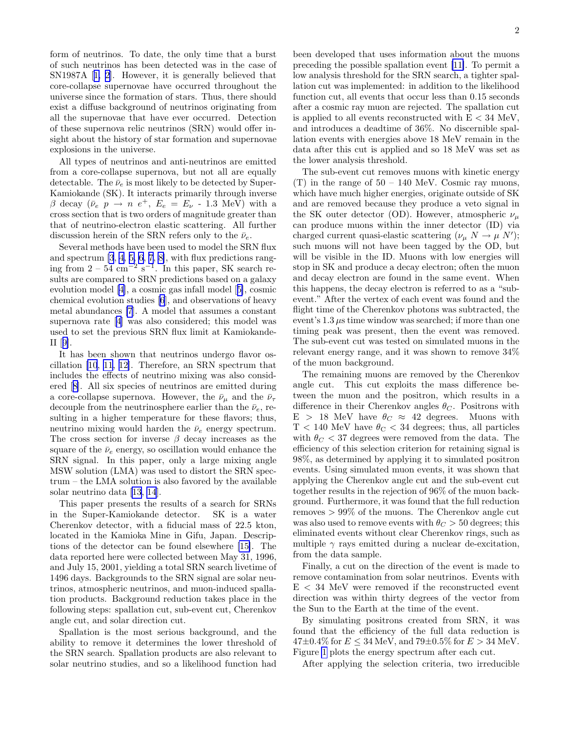form of neutrinos. To date, the only time that a burst of such neutrinos has been detected was in the case of SN1987A [[1, 2\]](#page-4-0). However, it is generally believed that core-collapse supernovae have occurred throughout the universe since the formation of stars. Thus, there should exist a diffuse background of neutrinos originating from all the supernovae that have ever occurred. Detection of these supernova relic neutrinos (SRN) would offer insight about the history of star formation and supernovae explosions in the universe.

All types of neutrinos and anti-neutrinos are emitted from a core-collapse supernova, but not all are equally detectable. The  $\bar{\nu}_e$  is most likely to be detected by Super-Kamiokande (SK). It interacts primarily through inverse β decay ( $\bar{\nu}_e$   $p \rightarrow n e^+$ ,  $E_e = E_\nu$  - 1.3 MeV) with a cross section that is two orders of magnitude greater than that of neutrino-electron elastic scattering. All further discussion herein of the SRN refers only to the  $\bar{\nu}_e$ .

Several methods have been used to model the SRN flux and spectrum [\[3](#page-4-0), [4](#page-4-0), [5, 6](#page-4-0), [7, 8\]](#page-4-0), with flux predictions ranging from  $2 - 54$  cm<sup>-2</sup> s<sup>-1</sup>. In this paper, SK search results are compared to SRN predictions based on a galaxy evolution model [\[4](#page-4-0)], a cosmic gas infall model [[5\]](#page-4-0), cosmic chemical evolution studies [\[6](#page-4-0)], and observations of heavy metal abundances [\[7](#page-4-0)]. A model that assumes a constant supernova rate [\[4](#page-4-0)] was also considered; this model was used to set the previous SRN flux limit at Kamiokande-II [[9\]](#page-4-0).

It has been shown that neutrinos undergo flavor oscillation [\[10](#page-4-0), [11](#page-4-0), [12\]](#page-4-0). Therefore, an SRN spectrum that includes the effects of neutrino mixing was also considered [[8\]](#page-4-0). All six species of neutrinos are emitted during a core-collapse supernova. However, the  $\bar{\nu}_{\mu}$  and the  $\bar{\nu}_{\tau}$ decouple from the neutrinosphere earlier than the  $\bar{\nu}_e$ , resulting in a higher temperature for these flavors; thus, neutrino mixing would harden the  $\bar{\nu}_e$  energy spectrum. The cross section for inverse  $\beta$  decay increases as the square of the  $\bar{\nu}_e$  energy, so oscillation would enhance the SRN signal. In this paper, only a large mixing angle MSW solution (LMA) was used to distort the SRN spectrum – the LMA solution is also favored by the available solar neutrino data [\[13](#page-4-0), [14](#page-4-0)].

This paper presents the results of a search for SRNs in the Super-Kamiokande detector. SK is a water Cherenkov detector, with a fiducial mass of 22.5 kton, located in the Kamioka Mine in Gifu, Japan. Descriptions of the detector can be found elsewhere [\[15\]](#page-4-0). The data reported here were collected between May 31, 1996, and July 15, 2001, yielding a total SRN search livetime of 1496 days. Backgrounds to the SRN signal are solar neutrinos, atmospheric neutrinos, and muon-induced spallation products. Background reduction takes place in the following steps: spallation cut, sub-event cut, Cherenkov angle cut, and solar direction cut.

Spallation is the most serious background, and the ability to remove it determines the lower threshold of the SRN search. Spallation products are also relevant to solar neutrino studies, and so a likelihood function had

been developed that uses information about the muons preceding the possible spallation event [\[11\]](#page-4-0). To permit a low analysis threshold for the SRN search, a tighter spallation cut was implemented: in addition to the likelihood function cut, all events that occur less than 0.15 seconds after a cosmic ray muon are rejected. The spallation cut is applied to all events reconstructed with  $E < 34$  MeV, and introduces a deadtime of 36%. No discernible spallation events with energies above 18 MeV remain in the data after this cut is applied and so 18 MeV was set as the lower analysis threshold.

The sub-event cut removes muons with kinetic energy  $(T)$  in the range of  $50 - 140$  MeV. Cosmic ray muons, which have much higher energies, originate outside of SK and are removed because they produce a veto signal in the SK outer detector (OD). However, atmospheric  $\nu_{\mu}$ can produce muons within the inner detector (ID) via charged current quasi-elastic scattering  $(\nu_{\mu} N \rightarrow \mu N')$ ; such muons will not have been tagged by the OD, but will be visible in the ID. Muons with low energies will stop in SK and produce a decay electron; often the muon and decay electron are found in the same event. When this happens, the decay electron is referred to as a "subevent." After the vertex of each event was found and the flight time of the Cherenkov photons was subtracted, the event's  $1.3 \mu s$  time window was searched; if more than one timing peak was present, then the event was removed. The sub-event cut was tested on simulated muons in the relevant energy range, and it was shown to remove 34% of the muon background.

The remaining muons are removed by the Cherenkov angle cut. This cut exploits the mass difference between the muon and the positron, which results in a difference in their Cherenkov angles  $\theta_C$ . Positrons with  $E > 18$  MeV have  $\theta_C \approx 42$  degrees. Muons with  $T < 140$  MeV have  $\theta_{C} < 34$  degrees; thus, all particles with  $\theta_C < 37$  degrees were removed from the data. The efficiency of this selection criterion for retaining signal is 98%, as determined by applying it to simulated positron events. Using simulated muon events, it was shown that applying the Cherenkov angle cut and the sub-event cut together results in the rejection of 96% of the muon background. Furthermore, it was found that the full reduction removes > 99% of the muons. The Cherenkov angle cut was also used to remove events with  $\theta_C > 50$  degrees; this eliminated events without clear Cherenkov rings, such as multiple  $\gamma$  rays emitted during a nuclear de-excitation, from the data sample.

Finally, a cut on the direction of the event is made to remove contamination from solar neutrinos. Events with  $E < 34$  MeV were removed if the reconstructed event direction was within thirty degrees of the vector from the Sun to the Earth at the time of the event.

By simulating positrons created from SRN, it was found that the efficiency of the full data reduction is  $47\pm0.4\%$  for  $E \leq 34$  MeV, and  $79\pm0.5\%$  for  $E > 34$  MeV. Figure [1](#page-2-0) plots the energy spectrum after each cut.

After applying the selection criteria, two irreducible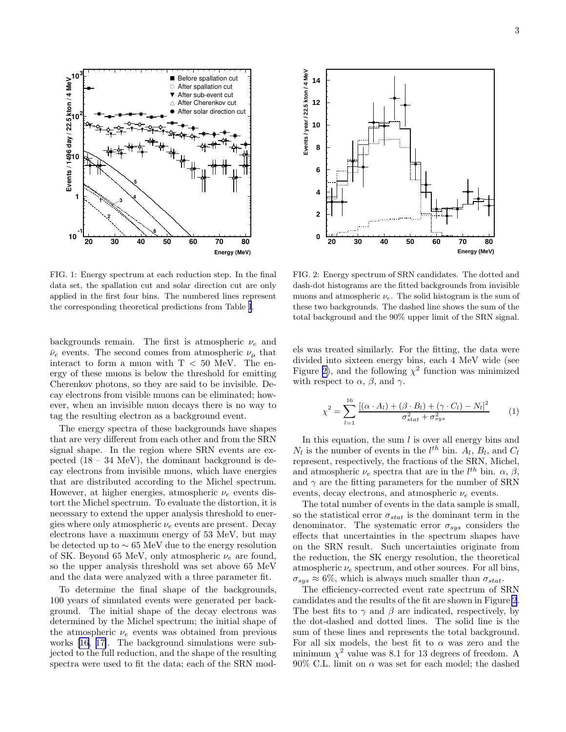<span id="page-2-0"></span>

FIG. 1: Energy spectrum at each reduction step. In the final data set, the spallation cut and solar direction cut are only applied in the first four bins. The numbered lines represent the corresponding theoretical predictions from Table [I](#page-3-0).

backgrounds remain. The first is atmospheric  $\nu_e$  and  $\bar{\nu}_e$  events. The second comes from atmospheric  $\nu_\mu$  that interact to form a muon with  $T < 50$  MeV. The energy of these muons is below the threshold for emitting Cherenkov photons, so they are said to be invisible. Decay electrons from visible muons can be eliminated; however, when an invisible muon decays there is no way to tag the resulting electron as a background event.

The energy spectra of these backgrounds have shapes that are very different from each other and from the SRN signal shape. In the region where SRN events are expected  $(18 - 34 \text{ MeV})$ , the dominant background is decay electrons from invisible muons, which have energies that are distributed according to the Michel spectrum. However, at higher energies, atmospheric  $\nu_e$  events distort the Michel spectrum. To evaluate the distortion, it is necessary to extend the upper analysis threshold to energies where only atmospheric  $\nu_e$  events are present. Decay electrons have a maximum energy of 53 MeV, but may be detected up to ∼ 65 MeV due to the energy resolution of SK. Beyond 65 MeV, only atmospheric  $\nu_e$  are found, so the upper analysis threshold was set above 65 MeV and the data were analyzed with a three parameter fit.

To determine the final shape of the backgrounds, 100 years of simulated events were generated per background. The initial shape of the decay electrons was determined by the Michel spectrum; the initial shape of the atmospheric  $\nu_e$  events was obtained from previous works [\[16](#page-4-0), [17\]](#page-4-0). The background simulations were subjected to the full reduction, and the shape of the resulting spectra were used to fit the data; each of the SRN mod-



FIG. 2: Energy spectrum of SRN candidates. The dotted and dash-dot histograms are the fitted backgrounds from invisible muons and atmospheric  $\nu_e$ . The solid histogram is the sum of these two backgrounds. The dashed line shows the sum of the total background and the 90% upper limit of the SRN signal.

els was treated similarly. For the fitting, the data were divided into sixteen energy bins, each 4 MeV wide (see Figure 2), and the following  $\chi^2$  function was minimized with respect to  $\alpha$ ,  $\beta$ , and  $\gamma$ .

$$
\chi^{2} = \sum_{l=1}^{16} \frac{\left[ (\alpha \cdot A_{l}) + (\beta \cdot B_{l}) + (\gamma \cdot C_{l}) - N_{l} \right]^{2}}{\sigma_{stat}^{2} + \sigma_{sys}^{2}} \tag{1}
$$

In this equation, the sum  $l$  is over all energy bins and  $N_l$  is the number of events in the  $l^{th}$  bin.  $A_l$ ,  $B_l$ , and  $C_l$ represent, respectively, the fractions of the SRN, Michel, and atmospheric  $\nu_e$  spectra that are in the  $l^{th}$  bin.  $\alpha$ ,  $\beta$ , and  $\gamma$  are the fitting parameters for the number of SRN events, decay electrons, and atmospheric  $\nu_e$  events.

The total number of events in the data sample is small, so the statistical error  $\sigma_{stat}$  is the dominant term in the denominator. The systematic error  $\sigma_{sys}$  considers the effects that uncertainties in the spectrum shapes have on the SRN result. Such uncertainties originate from the reduction, the SK energy resolution, the theoretical atmospheric  $\nu_e$  spectrum, and other sources. For all bins,  $\sigma_{sys} \approx 6\%$ , which is always much smaller than  $\sigma_{stat}$ .

The efficiency-corrected event rate spectrum of SRN candidates and the results of the fit are shown in Figure 2. The best fits to  $\gamma$  and  $\beta$  are indicated, respectively, by the dot-dashed and dotted lines. The solid line is the sum of these lines and represents the total background. For all six models, the best fit to  $\alpha$  was zero and the minimum  $\chi^2$  value was 8.1 for 13 degrees of freedom. A 90% C.L. limit on  $\alpha$  was set for each model; the dashed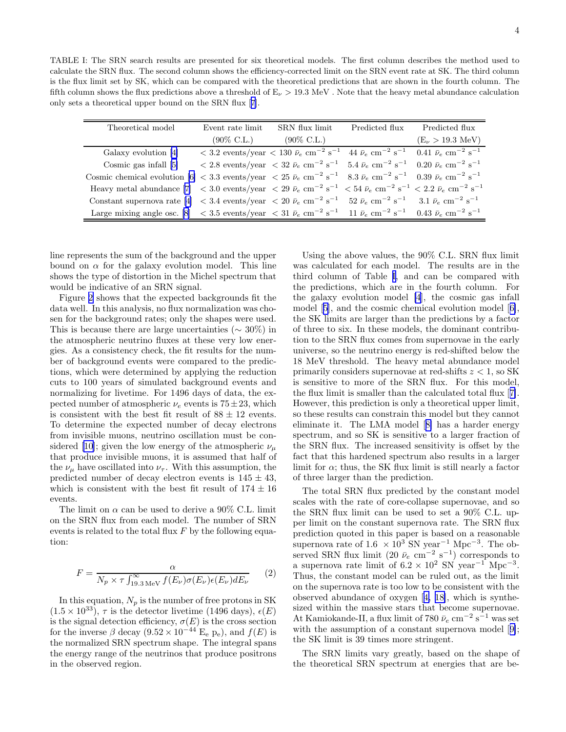<span id="page-3-0"></span>TABLE I: The SRN search results are presented for six theoretical models. The first column describes the method used to calculate the SRN flux. The second column shows the efficiency-corrected limit on the SRN event rate at SK. The third column is the flux limit set by SK, which can be compared with the theoretical predictions that are shown in the fourth column. The fifth column shows the flux predictions above a threshold of  $E_{\nu} > 19.3 \text{ MeV}$ . Note that the heavy metal abundance calculation only sets a theoretical upper bound on the SRN flux [[7](#page-4-0)].

| Theoretical model                                                                                                                                                                                                                                              | Event rate limit      | SRN flux limit                                                                                                                                                                           | Predicted flux Predicted flux  |
|----------------------------------------------------------------------------------------------------------------------------------------------------------------------------------------------------------------------------------------------------------------|-----------------------|------------------------------------------------------------------------------------------------------------------------------------------------------------------------------------------|--------------------------------|
|                                                                                                                                                                                                                                                                | $(90\% \text{ C.L.})$ | $(90\% \text{ C.L.})$                                                                                                                                                                    | $(E_{\nu} > 19.3 \text{ MeV})$ |
| Galaxy evolution [4]                                                                                                                                                                                                                                           |                       | $< 3.2$ events/year $< 130 \bar{\nu}_e \text{ cm}^{-2} \text{ s}^{-1}$ 44 $\bar{\nu}_e \text{ cm}^{-2} \text{ s}^{-1}$ 0.41 $\bar{\nu}_e \text{ cm}^{-2} \text{ s}^{-1}$                 |                                |
| Cosmic gas infall [5]                                                                                                                                                                                                                                          |                       | $\rm < 2.8$ events/year $\rm < 32$ $\bar{\nu}_e$ cm <sup>-2</sup> s <sup>-1</sup> 5.4 $\bar{\nu}_e$ cm <sup>-2</sup> s <sup>-1</sup> 0.20 $\bar{\nu}_e$ cm <sup>-2</sup> s <sup>-1</sup> |                                |
| Cosmic chemical evolution [6] < 3.3 events/year < $25 \bar{\nu}_e$ cm <sup>-2</sup> s <sup>-1</sup> 8.3 $\bar{\nu}_e$ cm <sup>-2</sup> s <sup>-1</sup> 0.39 $\bar{\nu}_e$ cm <sup>-2</sup> s <sup>-1</sup>                                                     |                       |                                                                                                                                                                                          |                                |
| Heavy metal abundance [7] $\langle 3.0 \text{ events/year} \rangle \langle 29 \bar{\nu}_e \text{ cm}^{-2} \text{ s}^{-1} \rangle \langle 54 \bar{\nu}_e \text{ cm}^{-2} \text{ s}^{-1} \rangle \langle 2.2 \bar{\nu}_e \text{ cm}^{-2} \text{ s}^{-1} \rangle$ |                       |                                                                                                                                                                                          |                                |
| Constant supernova rate [4] $\langle 3.4 \text{ events}/\text{year} \rangle \langle 20 \bar{\nu}_e \text{ cm}^{-2} \text{ s}^{-1} \rangle = 52 \bar{\nu}_e \text{ cm}^{-2} \text{ s}^{-1} = 3.1 \bar{\nu}_e \text{ cm}^{-2} \text{ s}^{-1}$                    |                       |                                                                                                                                                                                          |                                |
| Large mixing angle osc. [8] $\langle 3.5 \text{ events/year} \rangle \langle 31 \bar{\nu}_e \text{ cm}^{-2} \text{ s}^{-1} \rangle 11 \bar{\nu}_e \text{ cm}^{-2} \text{ s}^{-1} \rangle 0.43 \bar{\nu}_e \text{ cm}^{-2} \text{ s}^{-1}$                      |                       |                                                                                                                                                                                          |                                |

line represents the sum of the background and the upper bound on  $\alpha$  for the galaxy evolution model. This line shows the type of distortion in the Michel spectrum that would be indicative of an SRN signal.

Figure [2](#page-2-0) shows that the expected backgrounds fit the data well. In this analysis, no flux normalization was chosen for the background rates; only the shapes were used. This is because there are large uncertainties ( $\sim 30\%$ ) in the atmospheric neutrino fluxes at these very low energies. As a consistency check, the fit results for the number of background events were compared to the predictions, which were determined by applying the reduction cuts to 100 years of simulated background events and normalizing for livetime. For 1496 days of data, the expected number of atmospheric  $\nu_e$  events is  $75 \pm 23$ , which is consistent with the best fit result of  $88 \pm 12$  events. To determine the expected number of decay electrons from invisible muons, neutrino oscillation must be con-sidered [[10\]](#page-4-0); given the low energy of the atmospheric  $\nu_{\mu}$ that produce invisible muons, it is assumed that half of the  $\nu_{\mu}$  have oscillated into  $\nu_{\tau}$ . With this assumption, the predicted number of decay electron events is  $145 \pm 43$ , which is consistent with the best fit result of  $174 \pm 16$ events.

The limit on  $\alpha$  can be used to derive a 90% C.L. limit on the SRN flux from each model. The number of SRN events is related to the total flux  $F$  by the following equation:

$$
F = \frac{\alpha}{N_p \times \tau \int_{19.3 \text{ MeV}}^{\infty} f(E_{\nu}) \sigma(E_{\nu}) \epsilon(E_{\nu}) dE_{\nu}}
$$
(2)

In this equation,  $N_p$  is the number of free protons in SK  $(1.5 \times 10^{33})$ ,  $\tau$  is the detector livetime (1496 days),  $\epsilon(E)$ is the signal detection efficiency,  $\sigma(E)$  is the cross section for the inverse  $\beta$  decay  $(9.52 \times 10^{-44} \text{ E}_e \text{ p}_e)$ , and  $f(E)$  is the normalized SRN spectrum shape. The integral spans the energy range of the neutrinos that produce positrons in the observed region.

Using the above values, the 90% C.L. SRN flux limit was calculated for each model. The results are in the third column of Table I, and can be compared with the predictions, which are in the fourth column. For the galaxy evolution model [\[4](#page-4-0)], the cosmic gas infall model [[5\]](#page-4-0), and the cosmic chemical evolution model [[6\]](#page-4-0), the SK limits are larger than the predictions by a factor of three to six. In these models, the dominant contribution to the SRN flux comes from supernovae in the early universe, so the neutrino energy is red-shifted below the 18 MeV threshold. The heavy metal abundance model primarily considers supernovae at red-shifts  $z < 1$ , so SK is sensitive to more of the SRN flux. For this model, the flux limit is smaller than the calculated total flux [[7\]](#page-4-0). However, this prediction is only a theoretical upper limit, so these results can constrain this model but they cannot eliminate it. The LMA model [[8\]](#page-4-0) has a harder energy spectrum, and so SK is sensitive to a larger fraction of the SRN flux. The increased sensitivity is offset by the fact that this hardened spectrum also results in a larger limit for  $\alpha$ ; thus, the SK flux limit is still nearly a factor of three larger than the prediction.

The total SRN flux predicted by the constant model scales with the rate of core-collapse supernovae, and so the SRN flux limit can be used to set a 90% C.L. upper limit on the constant supernova rate. The SRN flux prediction quoted in this paper is based on a reasonable supernova rate of  $1.6 \times 10^3$  SN year<sup>-1</sup> Mpc<sup>-3</sup>. The observed SRN flux limit (20  $\bar{\nu}_e$  cm<sup>-2</sup> s<sup>-1</sup>) corresponds to a supernova rate limit of  $6.2 \times 10^2$  SN year<sup>-1</sup> Mpc<sup>-3</sup>. Thus, the constant model can be ruled out, as the limit on the supernova rate is too low to be consistent with the observed abundance of oxygen [[4, 18\]](#page-4-0), which is synthesized within the massive stars that become supernovae. At Kamiokande-II, a flux limit of 780  $\bar{\nu}_e$  cm<sup>-2</sup> s<sup>-1</sup> was set with the assumption of a constant supernova model [[9\]](#page-4-0); the SK limit is 39 times more stringent.

The SRN limits vary greatly, based on the shape of the theoretical SRN spectrum at energies that are be